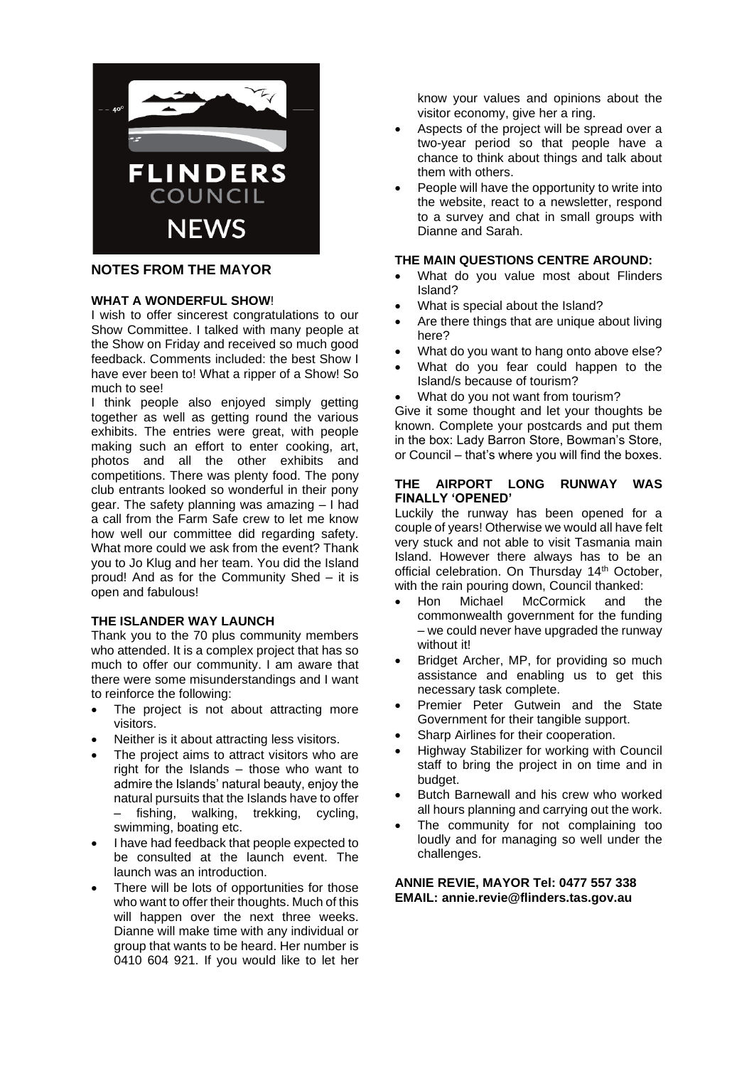

## **NOTES FROM THE MAYOR**

### **WHAT A WONDERFUL SHOW**!

I wish to offer sincerest congratulations to our Show Committee. I talked with many people at the Show on Friday and received so much good feedback. Comments included: the best Show I have ever been to! What a ripper of a Show! So much to see!

I think people also enjoyed simply getting together as well as getting round the various exhibits. The entries were great, with people making such an effort to enter cooking, art, photos and all the other exhibits and competitions. There was plenty food. The pony club entrants looked so wonderful in their pony gear. The safety planning was amazing – I had a call from the Farm Safe crew to let me know how well our committee did regarding safety. What more could we ask from the event? Thank you to Jo Klug and her team. You did the Island proud! And as for the Community Shed – it is open and fabulous!

#### **THE ISLANDER WAY LAUNCH**

Thank you to the 70 plus community members who attended. It is a complex project that has so much to offer our community. I am aware that there were some misunderstandings and I want to reinforce the following:

- The project is not about attracting more visitors.
- Neither is it about attracting less visitors.
- The project aims to attract visitors who are right for the Islands  $-$  those who want to admire the Islands' natural beauty, enjoy the natural pursuits that the Islands have to offer fishing, walking, trekking, cycling, swimming, boating etc.
- I have had feedback that people expected to be consulted at the launch event. The launch was an introduction.
- There will be lots of opportunities for those who want to offer their thoughts. Much of this will happen over the next three weeks. Dianne will make time with any individual or group that wants to be heard. Her number is 0410 604 921. If you would like to let her

know your values and opinions about the visitor economy, give her a ring.

- Aspects of the project will be spread over a two-year period so that people have a chance to think about things and talk about them with others.
- People will have the opportunity to write into the website, react to a newsletter, respond to a survey and chat in small groups with Dianne and Sarah.

#### **THE MAIN QUESTIONS CENTRE AROUND:**

- What do you value most about Flinders Island?
- What is special about the Island?
- Are there things that are unique about living here?
- What do you want to hang onto above else?
- What do you fear could happen to the Island/s because of tourism?
- What do you not want from tourism?

Give it some thought and let your thoughts be known. Complete your postcards and put them in the box: Lady Barron Store, Bowman's Store, or Council – that's where you will find the boxes.

#### **THE AIRPORT LONG RUNWAY WAS FINALLY 'OPENED'**

Luckily the runway has been opened for a couple of years! Otherwise we would all have felt very stuck and not able to visit Tasmania main Island. However there always has to be an official celebration. On Thursday 14<sup>th</sup> October, with the rain pouring down, Council thanked:

- Hon Michael McCormick and the commonwealth government for the funding – we could never have upgraded the runway without it!
- Bridget Archer, MP, for providing so much assistance and enabling us to get this necessary task complete.
- Premier Peter Gutwein and the State Government for their tangible support.
- Sharp Airlines for their cooperation.
- Highway Stabilizer for working with Council staff to bring the project in on time and in budget.
- Butch Barnewall and his crew who worked all hours planning and carrying out the work.
- The community for not complaining too loudly and for managing so well under the challenges.

**ANNIE REVIE, MAYOR Tel: 0477 557 338 EMAIL: annie.revie@flinders.tas.gov.au**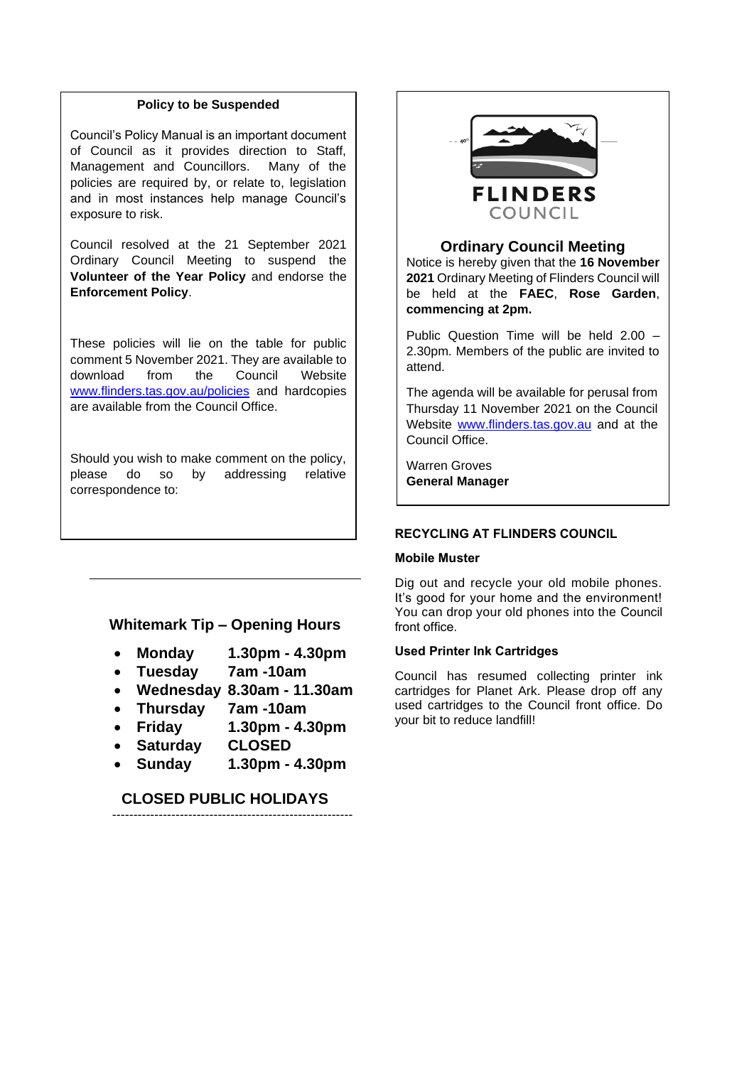#### **Policy to be Suspended**

Council's Policy Manual is an important document of Council as it provides direction to Staff, Management and Councillors. Many of the policies are required by, or relate to, legislation and in most instances help manage Council's exposure to risk.

Council resolved at the 21 September 2021 Ordinary Council Meeting to suspend the **Volunteer of the Year Policy** and endorse the **Enforcement Policy**.

These policies will lie on the table for public comment 5 November 2021. They are available to download from the Council Website [www.flinders.tas.gov.au/policies](http://www.flinders.tas.gov.au/policies) and hardcopies are available from the Council Office.

Should you wish to make comment on the policy, please do so by addressing relative correspondence to:

Warren Groves (1982)

## **Whitemark Tip – Opening Hours**

- **Monday 1.30pm - 4.30pm**
- **Tuesday 7am -10am**
- **Wednesday 8.30am - 11.30am**
- **Thursday 7am -10am**
- **Friday 1.30pm - 4.30pm**
- **Saturday CLOSED**
- **Sunday 1.30pm - 4.30pm**

## **CLOSED PUBLIC HOLIDAYS** ---------------------------------------------------------



#### **Ordinary Council Meeting**

Notice is hereby given that the **16 November 2021** Ordinary Meeting of Flinders Council will be held at the **FAEC**, **Rose Garden**, **commencing at 2pm.**

Public Question Time will be held 2.00 – 2.30pm. Members of the public are invited to attend.

The agenda will be available for perusal from Thursday 11 November 2021 on the Council Website [www.flinders.tas.gov.au](http://www.flinders.tas.gov.au/) and at the Council Office.

Warren Groves **General Manager**

## **RECYCLING AT FLINDERS COUNCIL**

#### **Mobile Muster**

Dig out and recycle your old mobile phones. It's good for your home and the environment! You can drop your old phones into the Council front office.

## **Used Printer Ink Cartridges**

Council has resumed collecting printer ink cartridges for Planet Ark. Please drop off any used cartridges to the Council front office. Do your bit to reduce landfill!